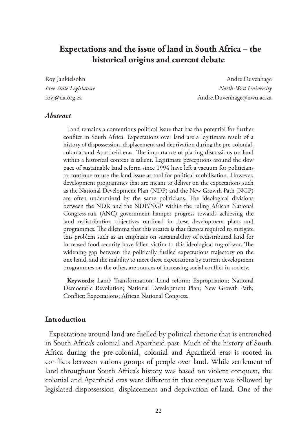# **Expectations and the issue of land in South Africa – the historical origins and current debate**

Roy Jankielsohn **André Duvenhage** André Duvenhage *Free State Legislature North-West University* royj@da.org.za Andre.Duvenhage@nwu.ac.za

#### *Abstract*

Land remains a contentious political issue that has the potential for further conflict in South Africa. Expectations over land are a legitimate result of a history of dispossession, displacement and deprivation during the pre-colonial, colonial and Apartheid eras. The importance of placing discussions on land within a historical context is salient. Legitimate perceptions around the slow pace of sustainable land reform since 1994 have left a vacuum for politicians to continue to use the land issue as tool for political mobilisation. However, development programmes that are meant to deliver on the expectations such as the National Development Plan (NDP) and the New Growth Path (NGP) are often undermined by the same politicians. The ideological divisions between the NDR and the NDP/NGP within the ruling African National Congress-run (ANC) government hamper progress towards achieving the land redistribution objectives outlined in these development plans and programmes. The dilemma that this creates is that factors required to mitigate this problem such as an emphasis on sustainability of redistributed land for increased food security have fallen victim to this ideological tug-of-war. The widening gap between the politically fuelled expectations trajectory on the one hand, and the inability to meet these expectations by current development programmes on the other, are sources of increasing social conflict in society.

**Keywords:** Land; Transformation; Land reform; Expropriation; National Democratic Revolution; National Development Plan; New Growth Path; Conflict; Expectations; African National Congress.

#### **Introduction**

Expectations around land are fuelled by political rhetoric that is entrenched in South Africa's colonial and Apartheid past. Much of the history of South Africa during the pre-colonial, colonial and Apartheid eras is rooted in conflicts between various groups of people over land. While settlement of land throughout South Africa's history was based on violent conquest, the colonial and Apartheid eras were different in that conquest was followed by legislated dispossession, displacement and deprivation of land. One of the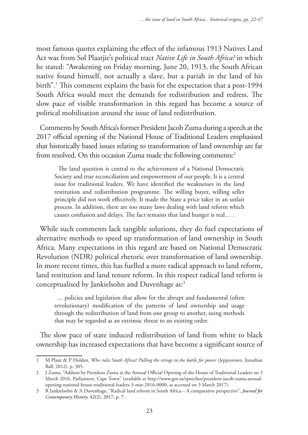most famous quotes explaining the effect of the infamous 1913 Natives Land Act was from Sol Plaatjie's political tract *Native Life in South Africa?* in which he stated: "Awakening on Friday morning, June 20, 1913, the South African native found himself, not actually a slave, but a pariah in the land of his birth".1 This comment explains the basis for the expectation that a post-1994 South Africa would meet the demands for redistribution and redress. The slow pace of visible transformation in this regard has become a source of political mobilisation around the issue of land redistribution.

Comments by South Africa's former President Jacob Zuma during a speech at the 2017 official opening of the National House of Traditional Leaders emphasised that historically based issues relating to transformation of land ownership are far from resolved. On this occasion Zuma made the following comments:<sup>2</sup>

The land question is central to the achievement of a National Democratic Society and true reconciliation and empowerment of our people. It is a central issue for traditional leaders. We have identified the weaknesses in the land restitution and redistribution programme. The willing buyer, willing seller principle did not work effectively. It made the State a price taker in an unfair process. In addition, there are too many laws dealing with land reform which causes confusion and delays. The fact remains that land hunger is real… .

While such comments lack tangible solutions, they do fuel expectations of alternative methods to speed up transformation of land ownership in South Africa. Many expectations in this regard are based on National Democratic Revolution (NDR) political rhetoric over transformation of land ownership. In more recent times, this has fuelled a more radical approach to land reform, land restitution and land tenure reform. In this respect radical land reform is conceptualised by Jankielsohn and Duvenhage as:<sup>3</sup>

... policies and legislation that allow for the abrupt and fundamental (often revolutionary) modification of the patterns of land ownership and usage through the redistribution of land from one group to another, using methods that may be regarded as an extrinsic threat to an existing order.

The slow pace of state induced redistribution of land from white to black ownership has increased expectations that have become a significant source of

<sup>1</sup> M Plaut & P Holden, *Who rules South Africa? Pulling the strings in the battle for power* (Jeppestown, Jonathan Ball, 2012), p. 305.

<sup>2</sup> J Zuma, "Address by President Zuma at the Annual Official Opening of the House of Traditional Leaders on 3 March 2016, Parliament, Cape Town" (available at http://www.gov.za/speeches/president-jacob-zuma-annualopening-national-house-traditional-leaders-3-mar-2016-0000, as accessed on 3 March 2017).

<sup>3</sup> R Jankielsohn & A Duvenhage, "Radical land reform in South Africa – A comparative perspective", *Journal for Contemporary History*, 42(2), 2017, p. 7.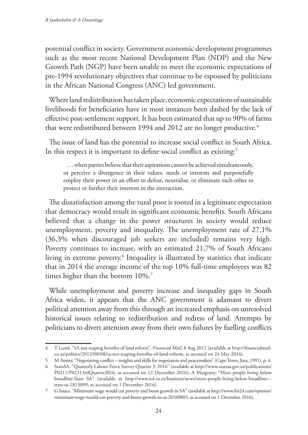potential conflict in society. Government economic development programmes such as the most recent National Development Plan (NDP) and the New Growth Path (NGP) have been unable to meet the economic expectations of pre-1994 revolutionary objectives that continue to be espoused by politicians in the African National Congress (ANC) led government.

Where land redistribution has taken place, economic expectations of sustainable livelihoods for beneficiaries have in most instances been dashed by the lack of effective post-settlement support. It has been estimated that up to 90% of farms that were redistributed between 1994 and 2012 are no longer productive.<sup>4</sup>

The issue of land has the potential to increase social conflict in South Africa. In this respect it is important to define social conflict as existing:<sup>5</sup>

… when parties believe that their aspirations cannot be achieved simultaneously, or perceive a divergence in their values, needs or interests and purposefully employ their power in an effort to defeat, neutralise, or eliminate each other to protect or further their interests in the interaction.

The dissatisfaction among the rural poor is rooted in a legitimate expectation that democracy would result in significant economic benefits. South Africans believed that a change in the power structures in society would reduce unemployment, poverty and inequality. The unemployment rate of 27,1% (36,3% when discouraged job seekers are included) remains very high. Poverty continues to increase, with an estimated 21,7% of South Africans living in extreme poverty.6 Inequality is illustrated by statistics that indicate that in 2014 the average income of the top 10% full-time employees was 82 times higher than the bottom 10%.<sup>7</sup>

While unemployment and poverty increase and inequality gaps in South Africa widen, it appears that the ANC government is adamant to divert political attention away from this through an increased emphasis on unresolved historical issues relating to redistribution and redress of land. Attempts by politicians to divert attention away from their own failures by fuelling conflicts

<sup>4</sup> T Lund, "SA not reaping benefits of land reform", *Financial Mail,* 8 Aug 2012 (available at http://financialmail. co.za/politics/2012/08/08/sa-not-reaping-benefits-of-land-reform, as accessed on 24 May 2016).

<sup>5</sup> M Anstey, "Negotiating conflict – insights and skills for negotiators and peacemakers" (Cape Town, Juta, 1991), p. 4.

<sup>6</sup> StatsSA, "Quarterly Labour Force Survey Quarter 3: 2016" (available at http://www.statssa.gov.za/publications/ P0211/P02113rdQuarter2016, as accessed on 12 December 2016); A Musgrave, "More people living below breadline-Stats SA" (available at http://www.iol.co.za/business/news/more-people-living-below-breadline-- stats-sa-1813099, as accessed on 1 December 2016).

<sup>7</sup> G Isaacs, "Minimum wage would cut poverty and boost growth in SA" (available at http://www.fin24.com/opinion/ minimum-wage-would-cut-poverty-and-boost-growth-in-sa-20160803, as accessed on 1 December 2016).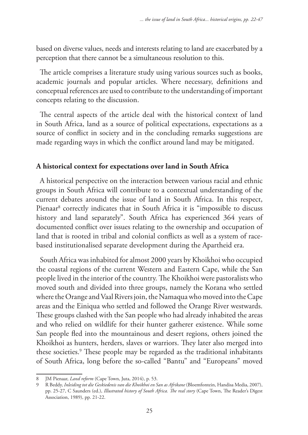based on diverse values, needs and interests relating to land are exacerbated by a perception that there cannot be a simultaneous resolution to this.

The article comprises a literature study using various sources such as books, academic journals and popular articles. Where necessary, definitions and conceptual references are used to contribute to the understanding of important concepts relating to the discussion.

The central aspects of the article deal with the historical context of land in South Africa, land as a source of political expectations, expectations as a source of conflict in society and in the concluding remarks suggestions are made regarding ways in which the conflict around land may be mitigated.

## **A historical context for expectations over land in South Africa**

A historical perspective on the interaction between various racial and ethnic groups in South Africa will contribute to a contextual understanding of the current debates around the issue of land in South Africa. In this respect, Pienaar<sup>8</sup> correctly indicates that in South Africa it is "impossible to discuss history and land separately". South Africa has experienced 364 years of documented conflict over issues relating to the ownership and occupation of land that is rooted in tribal and colonial conflicts as well as a system of racebased institutionalised separate development during the Apartheid era.

South Africa was inhabited for almost 2000 years by Khoikhoi who occupied the coastal regions of the current Western and Eastern Cape, while the San people lived in the interior of the country. The Khoikhoi were pastoralists who moved south and divided into three groups, namely the Korana who settled where the Orange and Vaal Rivers join, the Namaqua who moved into the Cape areas and the Einiqua who settled and followed the Orange River westwards. These groups clashed with the San people who had already inhabited the areas and who relied on wildlife for their hunter gatherer existence. While some San people fled into the mountainous and desert regions, others joined the Khoikhoi as hunters, herders, slaves or warriors. They later also merged into these societies.<sup>9</sup> These people may be regarded as the traditional inhabitants of South Africa, long before the so-called "Bantu" and "Europeans" moved

<sup>8</sup> JM Pienaar, *Land reform* (Cape Town, Juta, 2014), p. 53.

<sup>9</sup> R Beddy, *Inleiding tot die Geskiedenis van die Khoikhoi en San as Afrikane* (Bloemfontein, Handisa Media, 2007), pp. 25-27, C Saunders (ed.), *Illustrated history of South Africa. The real story* (Cape Town, The Reader's Digest Association, 1989), pp. 21-22.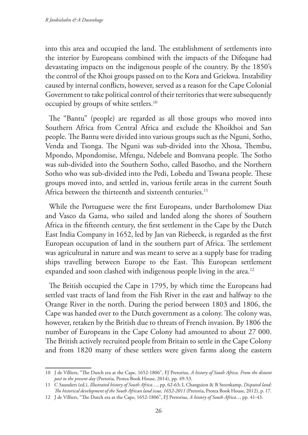into this area and occupied the land. The establishment of settlements into the interior by Europeans combined with the impacts of the Difeqane had devastating impacts on the indigenous people of the country. By the 1850's the control of the Khoi groups passed on to the Kora and Griekwa. Instability caused by internal conflicts, however, served as a reason for the Cape Colonial Government to take political control of their territories that were subsequently occupied by groups of white settlers.10

The "Bantu" (people) are regarded as all those groups who moved into Southern Africa from Central Africa and exclude the Khoikhoi and San people. The Bantu were divided into various groups such as the Nguni, Sotho, Venda and Tsonga. The Nguni was sub-divided into the Xhosa, Thembu, Mpondo, Mpondomise, Mfengu, Ndebele and Bomvana people. The Sotho was sub-divided into the Southern Sotho, called Basotho, and the Northern Sotho who was sub-divided into the Pedi, Lobedu and Tswana people. These groups moved into, and settled in, various fertile areas in the current South Africa between the thirteenth and sixteenth centuries.<sup>11</sup>

While the Portuguese were the first Europeans, under Bartholomew Diaz and Vasco da Gama, who sailed and landed along the shores of Southern Africa in the fifteenth century, the first settlement in the Cape by the Dutch East India Company in 1652, led by Jan van Riebeeck, is regarded as the first European occupation of land in the southern part of Africa. The settlement was agricultural in nature and was meant to serve as a supply base for trading ships travelling between Europe to the East. This European settlement expanded and soon clashed with indigenous people living in the area.<sup>12</sup>

The British occupied the Cape in 1795, by which time the Europeans had settled vast tracts of land from the Fish River in the east and halfway to the Orange River in the north. During the period between 1803 and 1806, the Cape was handed over to the Dutch government as a colony. The colony was, however, retaken by the British due to threats of French invasion. By 1806 the number of Europeans in the Cape Colony had amounted to about 27 000. The British actively recruited people from Britain to settle in the Cape Colony and from 1820 many of these settlers were given farms along the eastern

<sup>10</sup> J de Villiers, "The Dutch era at the Cape, 1652-1806", FJ Pretorius, *A history of South Africa. From the distant past to the present day* (Pretoria, Protea Book House, 2014), pp. 49-53.

<sup>11</sup> C Saunders (ed.), *Illustrated history of South Africa…*, pp. 62-63; L Changuion & B Steenkamp, *Disputed land: The historical development of the South African land issue, 1652-2011* (Pretoria, Protea Book House, 2012), p. 17.

<sup>12</sup> J de Villiers, "The Dutch era at the Cape, 1652-1806", FJ Pretorius, *A history of South Africa...*, pp. 41-43.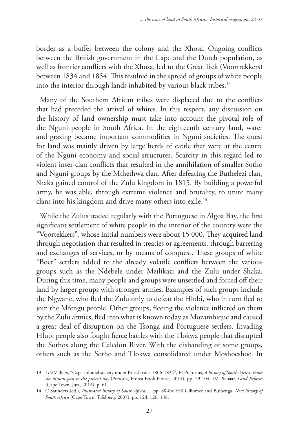border as a buffer between the colony and the Xhosa. Ongoing conflicts between the British government in the Cape and the Dutch population, as well as frontier conflicts with the Xhosa, led to the Great Trek (Voortrekkers) between 1834 and 1854. This resulted in the spread of groups of white people into the interior through lands inhabited by various black tribes.<sup>13</sup>

Many of the Southern African tribes were displaced due to the conflicts that had preceded the arrival of whites. In this respect, any discussion on the history of land ownership must take into account the pivotal role of the Nguni people in South Africa. In the eighteenth century land, water and grazing became important commodities in Nguni societies. The quest for land was mainly driven by large herds of cattle that were at the centre of the Nguni economy and social structures. Scarcity in this regard led to violent inter-clan conflicts that resulted in the annihilation of smaller Sotho and Nguni groups by the Mthethwa clan. After defeating the Buthelezi clan, Shaka gained control of the Zulu kingdom in 1815. By building a powerful army, he was able, through extreme violence and brutality, to unite many clans into his kingdom and drive many others into exile.<sup>14</sup>

While the Zulus traded regularly with the Portuguese in Algoa Bay, the first significant settlement of white people in the interior of the country were the "Voortekkers", whose initial numbers were about 15 000. They acquired land through negotiation that resulted in treaties or agreements, through bartering and exchanges of services, or by means of conquest. These groups of white "Boer" settlers added to the already volatile conflicts between the various groups such as the Ndebele under Mzilikazi and the Zulu under Shaka. During this time, many people and groups were unsettled and forced off their land by larger groups with stronger armies. Examples of such groups include the Ngwane, who fled the Zulu only to defeat the Hlubi, who in turn fled to join the Mfengu people. Other groups, fleeing the violence inflicted on them by the Zulu armies, fled into what is known today as Mozambique and caused a great deal of disruption on the Tsonga and Portuguese settlers. Invading Hlubi people also fought fierce battles with the Tlokwa people that disrupted the Sothos along the Caledon River. With the disbanding of some groups, others such as the Sotho and Tlokwa consolidated under Moshoeshoe. In

<sup>13</sup> J de Villiers, "Cape colonial society under British rule, 1806-1834", FJ Pretorius, *A history of South Africa. From the distant past to the present day* (Pretoria, Protea Book House, 2014), pp. 79-104; JM Pienaar, *Land Reform*  (Cape Town, Juta, 2014), p. 61.

<sup>14</sup> C Saunders (ed.), *Illustrated history of South Africa…,* pp. 80-84; HB Giliomee and Bulbenga, *New history of South Africa* (Cape Town, Tafelberg, 2007), pp. 124, 126, 138.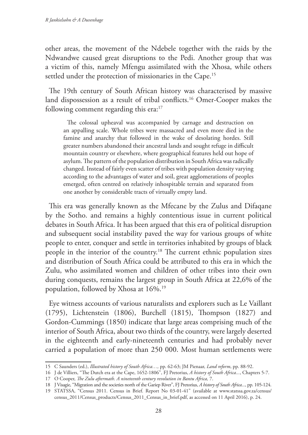other areas, the movement of the Ndebele together with the raids by the Ndwandwe caused great disruptions to the Pedi. Another group that was a victim of this, namely Mfengu assimilated with the Xhosa, while others settled under the protection of missionaries in the Cape.<sup>15</sup>

The 19th century of South African history was characterised by massive land dispossession as a result of tribal conflicts.<sup>16</sup> Omer-Cooper makes the following comment regarding this era:<sup>17</sup>

The colossal upheaval was accompanied by carnage and destruction on an appalling scale. Whole tribes were massacred and even more died in the famine and anarchy that followed in the wake of desolating hordes. Still greater numbers abandoned their ancestral lands and sought refuge in difficult mountain country or elsewhere, where geographical features held out hope of asylum. The pattern of the population distribution in South Africa was radically changed. Instead of fairly even scatter of tribes with population density varying according to the advantages of water and soil, great agglomerations of peoples emerged, often centred on relatively inhospitable terrain and separated from one another by considerable tracts of virtually empty land.

This era was generally known as the Mfecane by the Zulus and Difaqane by the Sotho. and remains a highly contentious issue in current political debates in South Africa. It has been argued that this era of political disruption and subsequent social instability paved the way for various groups of white people to enter, conquer and settle in territories inhabited by groups of black people in the interior of the country.18 The current ethnic population sizes and distribution of South Africa could be attributed to this era in which the Zulu, who assimilated women and children of other tribes into their own during conquests, remains the largest group in South Africa at 22,6% of the population, followed by Xhosa at 16%.19

Eye witness accounts of various naturalists and explorers such as Le Vaillant (1795), Lichtenstein (1806), Burchell (1815), Thompson (1827) and Gordon-Cummings (1850) indicate that large areas comprising much of the interior of South Africa, about two thirds of the country, were largely deserted in the eighteenth and early-nineteenth centuries and had probably never carried a population of more than 250 000. Most human settlements were

<sup>15</sup> C Saunders (ed.), *Illustrated history of South Africa…,* pp. 62-63; JM Pienaar, *Land reform*, pp. 88-92.

<sup>16</sup> J de Villiers, "The Dutch era at the Cape, 1652-1806", FJ Pretorius, *A history of South Africa...*, Chapters 5-7.

<sup>17</sup> O Cooper, *The Zulu aftermath. A nineteenth century revolution in Bantu Africa,* 7.

<sup>18</sup> J Visagie, "Migration and the societies north of the Gariep River", FJ Pretorius, *A history of South Africa...*, pp. 105-124.

<sup>19</sup> STATSSA, "Census 2011. Census in Brief. Report No 03-01-41" (available at www.statssa.gov.za/census/ census\_2011/Census\_products/Census\_2011\_Census\_in\_brief.pdf, as accessed on 11 April 2016), p. 24.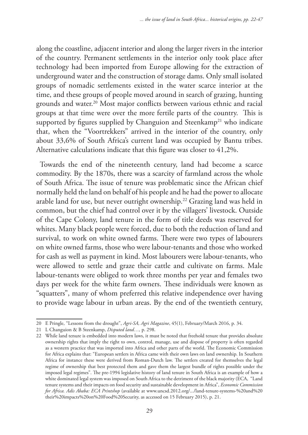along the coastline, adjacent interior and along the larger rivers in the interior of the country. Permanent settlements in the interior only took place after technology had been imported from Europe allowing for the extraction of underground water and the construction of storage dams. Only small isolated groups of nomadic settlements existed in the water scarce interior at the time, and these groups of people moved around in search of grazing, hunting grounds and water.20 Most major conflicts between various ethnic and racial groups at that time were over the more fertile parts of the country. This is supported by figures supplied by Changuion and Steenkamp<sup>21</sup> who indicate that, when the "Voortrekkers" arrived in the interior of the country, only about 33,6% of South Africa's current land was occupied by Bantu tribes. Alternative calculations indicate that this figure was closer to 41,2%.

Towards the end of the nineteenth century, land had become a scarce commodity. By the 1870s, there was a scarcity of farmland across the whole of South Africa. The issue of tenure was problematic since the African chief normally held the land on behalf of his people and he had the power to allocate arable land for use, but never outright ownership.<sup>22</sup> Grazing land was held in common, but the chief had control over it by the villagers' livestock. Outside of the Cape Colony, land tenure in the form of title deeds was reserved for whites. Many black people were forced, due to both the reduction of land and survival, to work on white owned farms. There were two types of labourers on white owned farms, those who were labour-tenants and those who worked for cash as well as payment in kind. Most labourers were labour-tenants, who were allowed to settle and graze their cattle and cultivate on farms. Male labour-tenants were obliged to work three months per year and females two days per week for the white farm owners. These individuals were known as "squatters", many of whom preferred this relative independence over having to provide wage labour in urban areas. By the end of the twentieth century,

<sup>20</sup> E Pringle, "Lessons from the drought", *Agri-SA, Agri Magazine*, 45(1), February/March 2016, p. 34.

<sup>21</sup> L Changuion & B Steenkamp, *Disputed land…,* p. 298.

<sup>22</sup> While land tenure is embedded into modern laws, it must be noted that freehold tenure that provides absolute ownership rights that imply the right to own, control, manage, use and dispose of property is often regarded as a western practice that was imported into Africa and other parts of the world. The Economic Commission for Africa explains that: "European settlers in Africa came with their own laws on land ownership. In Southern Africa for instance these were derived from Roman-Dutch law. The settlers created for themselves the legal regime of ownership that best protected them and gave them the largest bundle of rights possible under the imposed legal regimes". The pre-1994 legislative history of land tenure in South Africa is an example of how a white dominated legal system was imposed on South Africa to the detriment of the black majority (ECA, "Land tenure systems and their impacts on food security and sustainable development in Africa", *Economic Commission for Africa. Adis Ababa: ECA Printshop* (available at www.uncsd.2012.org/.../land-tenure-systems-%20and%20 their%20impacts%20on%20Food%20Security, as accessed on 15 February 2015), p. 21.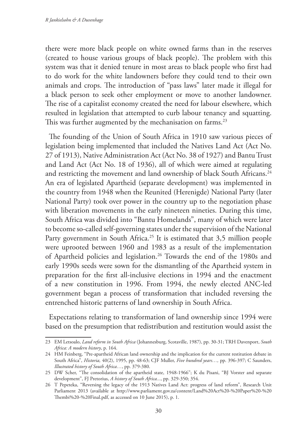there were more black people on white owned farms than in the reserves (created to house various groups of black people). The problem with this system was that it denied tenure in most areas to black people who first had to do work for the white landowners before they could tend to their own animals and crops. The introduction of "pass laws" later made it illegal for a black person to seek other employment or move to another landowner. The rise of a capitalist economy created the need for labour elsewhere, which resulted in legislation that attempted to curb labour tenancy and squatting. This was further augmented by the mechanisation on farms.<sup>23</sup>

The founding of the Union of South Africa in 1910 saw various pieces of legislation being implemented that included the Natives Land Act (Act No. 27 of 1913), Native Administration Act (Act No. 38 of 1927) and Bantu Trust and Land Act (Act No. 18 of 1936), all of which were aimed at regulating and restricting the movement and land ownership of black South Africans.<sup>24</sup> An era of legislated Apartheid (separate development) was implemented in the country from 1948 when the Reunited (Herenigde) National Party (later National Party) took over power in the country up to the negotiation phase with liberation movements in the early nineteen nineties. During this time, South Africa was divided into "Bantu Homelands", many of which were later to become so-called self-governing states under the supervision of the National Party government in South Africa.<sup>25</sup> It is estimated that 3,5 million people were uprooted between 1960 and 1983 as a result of the implementation of Apartheid policies and legislation.26 Towards the end of the 1980s and early 1990s seeds were sown for the dismantling of the Apartheid system in preparation for the first all-inclusive elections in 1994 and the enactment of a new constitution in 1996. From 1994, the newly elected ANC-led government began a process of transformation that included reversing the entrenched historic patterns of land ownership in South Africa.

Expectations relating to transformation of land ownership since 1994 were based on the presumption that redistribution and restitution would assist the

<sup>23</sup> EM Letsoalo, *Land reform in South Africa* (Johannesburg, Scotaville, 1987), pp. 30-31; TRH Davenport, *South Africa: A modern history*, p. 164.

<sup>24</sup> HM Feinberg, "Pre-apartheid African land ownership and the implication for the current restitution debate in South Africa", *Historia,* 40(2), 1995, pp. 48-63; CJF Muller, *Five hundred years…,* pp. 396-397; C Saunders, *Illustrated history of South Africa…*, pp. 379-380.

<sup>25</sup> DW Scher, "The consolidation of the apartheid state, 1948-1966"; K du Pisani, "BJ Vorster and separate development", FJ Pretorius, *A history of South Africa...*, pp. 329-350; 354.

<sup>26</sup> T Pepeteka, "Reversing the legacy of the 1913 Natives Land Act: progress of land reform", Research Unit Parliament 2013 (available at http://www.parliament.gov.za/content/Land%20Act%20-%20Paper%20-%20 Thembi%20-%20Final.pdf, as accessed on 10 June 2015), p. 1.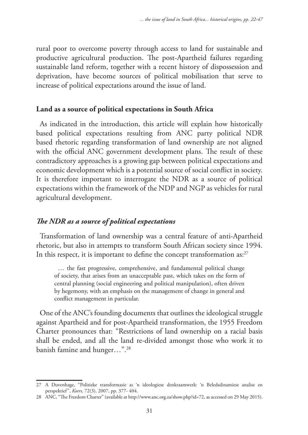rural poor to overcome poverty through access to land for sustainable and productive agricultural production. The post-Apartheid failures regarding sustainable land reform, together with a recent history of dispossession and deprivation, have become sources of political mobilisation that serve to increase of political expectations around the issue of land.

## **Land as a source of political expectations in South Africa**

As indicated in the introduction, this article will explain how historically based political expectations resulting from ANC party political NDR based rhetoric regarding transformation of land ownership are not aligned with the official ANC government development plans. The result of these contradictory approaches is a growing gap between political expectations and economic development which is a potential source of social conflict in society. It is therefore important to interrogate the NDR as a source of political expectations within the framework of the NDP and NGP as vehicles for rural agricultural development.

## *The NDR as a source of political expectations*

Transformation of land ownership was a central feature of anti-Apartheid rhetoric, but also in attempts to transform South African society since 1994. In this respect, it is important to define the concept transformation as: $27$ 

… the fast progressive, comprehensive, and fundamental political change of society, that arises from an unacceptable past, which takes on the form of central planning (social engineering and political manipulation), often driven by hegemony, with an emphasis on the management of change in general and conflict management in particular.

One of the ANC's founding documents that outlines the ideological struggle against Apartheid and for post-Apartheid transformation, the 1955 Freedom Charter pronounces that: "Restrictions of land ownership on a racial basis shall be ended, and all the land re-divided amongst those who work it to banish famine and hunger…".28

<sup>27</sup> A Duvenhage, "Politieke transformasie as 'n ideologiese denkraamwerk: 'n Beledsdinamiese analise en perspektief", *Koers,* 72(3), 2007, pp. 377- 404.

<sup>28</sup> ANC, "The Freedom Charter" (available at http://www.anc.org.za/show.php?id=72, as accessed on 29 May 2015).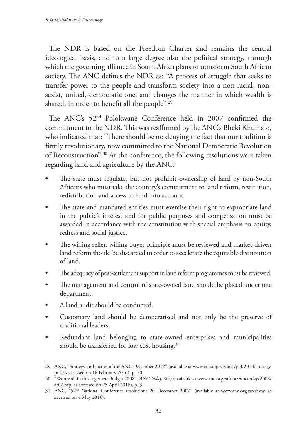The NDR is based on the Freedom Charter and remains the central ideological basis, and to a large degree also the political strategy, through which the governing alliance in South Africa plans to transform South African society. The ANC defines the NDR as: "A process of struggle that seeks to transfer power to the people and transform society into a non-racial, nonsexist, united, democratic one, and changes the manner in which wealth is shared, in order to benefit all the people".29

The ANC's 52nd Polokwane Conference held in 2007 confirmed the commitment to the NDR. This was reaffirmed by the ANC's Bheki Khumalo, who indicated that: "There should be no denying the fact that our tradition is firmly revolutionary, now committed to the National Democratic Revolution of Reconstruction".30 At the conference, the following resolutions were taken regarding land and agriculture by the ANC:

- The state must regulate, but not prohibit ownership of land by non-South Africans who must take the country's commitment to land reform, restitution, redistribution and access to land into account.
- The state and mandated entities must exercise their right to expropriate land in the public's interest and for public purposes and compensation must be awarded in accordance with the constitution with special emphasis on equity, redress and social justice.
- The willing seller, willing buyer principle must be reviewed and market-driven land reform should be discarded in order to accelerate the equitable distribution of land.
- The adequacy of post-settlement support in land reform programmes must be reviewed.
- The management and control of state-owned land should be placed under one department.
- A land audit should be conducted.
- Customary land should be democratised and not only be the preserve of traditional leaders.
- Redundant land belonging to state-owned enterprises and municipalities should be transferred for low cost housing.<sup>31</sup>

<sup>29</sup> ANC, "Strategy and tactics of the ANC December 2012" (available at www.anc.org.za/docs/pol/2013/strategy. pdf, as accessed on 16 February 2016), p. 70.

<sup>30</sup> "We are all in this together: Budget 2008", *ANC Today,* 8(7) (available at www.anc.org.za/docs/anctoday/2008/ at07.htp, as accessed on 25 April 2016), p. 3.

<sup>31</sup> ANC, "52nd National Conference resolutions 20 December 2007" (available at www.anc.org.za>show, as accessed on 4 May 2016).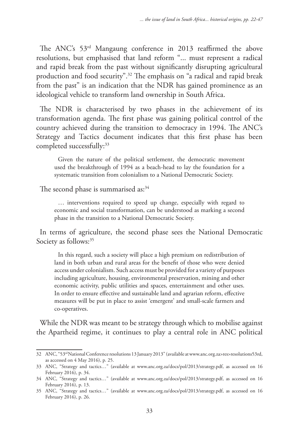The ANC's 53rd Mangaung conference in 2013 reaffirmed the above resolutions, but emphasised that land reform "... must represent a radical and rapid break from the past without significantly disrupting agricultural production and food security".32 The emphasis on "a radical and rapid break from the past" is an indication that the NDR has gained prominence as an ideological vehicle to transform land ownership in South Africa.

The NDR is characterised by two phases in the achievement of its transformation agenda. The first phase was gaining political control of the country achieved during the transition to democracy in 1994. The ANC's Strategy and Tactics document indicates that this first phase has been completed successfully:<sup>33</sup>

Given the nature of the political settlement, the democratic movement used the breakthrough of 1994 as a beach-head to lay the foundation for a systematic transition from colonialism to a National Democratic Society.

The second phase is summarised as:<sup>34</sup>

… interventions required to speed up change, especially with regard to economic and social transformation, can be understood as marking a second phase in the transition to a National Democratic Society.

In terms of agriculture, the second phase sees the National Democratic Society as follows:<sup>35</sup>

In this regard, such a society will place a high premium on redistribution of land in both urban and rural areas for the benefit of those who were denied access under colonialism. Such access must be provided for a variety of purposes including agriculture, housing, environmental preservation, mining and other economic activity, public utilities and spaces, entertainment and other uses. In order to ensure effective and sustainable land and agrarian reform, effective measures will be put in place to assist 'emergent' and small-scale farmers and co-operatives.

While the NDR was meant to be strategy through which to mobilise against the Apartheid regime, it continues to play a central role in ANC political

<sup>32</sup> ANC, "53rd National Conference resolutions 13 January 2013" (available at www.anc.org.za>res>resolutions53rd, as accessed on 4 May 2016), p. 25.

<sup>33</sup> ANC, "Strategy and tactics…" (available at www.anc.org.za/docs/pol/2013/strategy.pdf, as accessed on 16 February 2016), p. 34.

<sup>34</sup> ANC, "Strategy and tactics…" (available at www.anc.org.za/docs/pol/2013/strategy.pdf, as accessed on 16 February 2016), p. 13.

<sup>35</sup> ANC, "Strategy and tactics…" (available at www.anc.org.za/docs/pol/2013/strategy.pdf, as accessed on 16 February 2016), p. 26.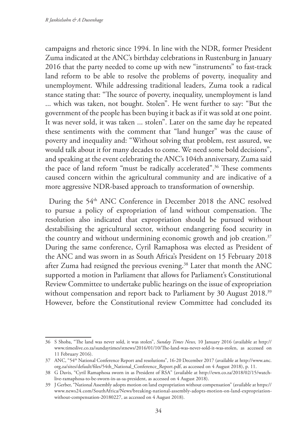campaigns and rhetoric since 1994. In line with the NDR, former President Zuma indicated at the ANC's birthday celebrations in Rustenburg in January 2016 that the party needed to come up with new "instruments" to fast-track land reform to be able to resolve the problems of poverty, inequality and unemployment. While addressing traditional leaders, Zuma took a radical stance stating that: "The source of poverty, inequality, unemployment is land ... which was taken, not bought. Stolen". He went further to say: "But the government of the people has been buying it back as if it was sold at one point. It was never sold, it was taken ... stolen". Later on the same day he repeated these sentiments with the comment that "land hunger" was the cause of poverty and inequality and: "Without solving that problem, rest assured, we would talk about it for many decades to come. We need some bold decisions", and speaking at the event celebrating the ANC's 104th anniversary, Zuma said the pace of land reform "must be radically accelerated".36 These comments caused concern within the agricultural community and are indicative of a more aggressive NDR-based approach to transformation of ownership.

During the 54<sup>th</sup> ANC Conference in December 2018 the ANC resolved to pursue a policy of expropriation of land without compensation. The resolution also indicated that expropriation should be pursued without destabilising the agricultural sector, without endangering food security in the country and without undermining economic growth and job creation.<sup>37</sup> During the same conference, Cyril Ramaphosa was elected as President of the ANC and was sworn in as South Africa's President on 15 February 2018 after Zuma had resigned the previous evening.<sup>38</sup> Later that month the ANC supported a motion in Parliament that allows for Parliament's Constitutional Review Committee to undertake public hearings on the issue of expropriation without compensation and report back to Parliament by 30 August 2018.<sup>39</sup> However, before the Constitutional review Committee had concluded its

<sup>36</sup> S Shoba, "The land was never sold, it was stolen", *Sunday Times News,* 10 January 2016 (available at http:// www.timeslive.co.za/sundaytimes/stnews/2016/01/10/The-land-was-never-sold-it-was-stolen, as accessed on 11 February 2016).

<sup>37</sup> ANC, "54th National Conference Report and resolutions", 16-20 December 2017 (available at http://www.anc. org.za/sites/default/files/54th\_National\_Conference\_Report.pdf, as accessed on 4 August 2018), p. 11.

<sup>38</sup> G Davis, "Cyril Ramaphosa sworn in as President of RSA" (available at http://ewn.co.za/2018/02/15/watchlive-ramaphosa-to-be-sworn-in-as-sa-president, as accessed on 4 August 2018).

<sup>39</sup> J Gerber, "National Assembly adopts motion on land expropriation without compensation" (available at https:// www.news24.com/SouthAfrica/News/breaking-national-assembly-adopts-motion-on-land-expropriationwithout-compensation-20180227, as accessed on 4 August 2018).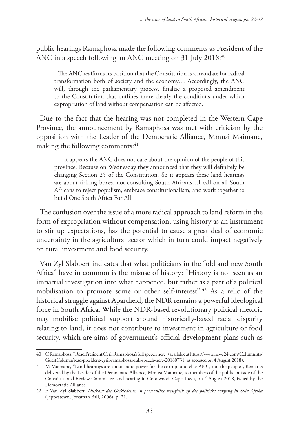public hearings Ramaphosa made the following comments as President of the ANC in a speech following an ANC meeting on 31 July 2018:<sup>40</sup>

The ANC reaffirms its position that the Constitution is a mandate for radical transformation both of society and the economy… Accordingly, the ANC will, through the parliamentary process, finalise a proposed amendment to the Constitution that outlines more clearly the conditions under which expropriation of land without compensation can be affected.

Due to the fact that the hearing was not completed in the Western Cape Province, the announcement by Ramaphosa was met with criticism by the opposition with the Leader of the Democratic Alliance, Mmusi Maimane, making the following comments:<sup>41</sup>

…it appears the ANC does not care about the opinion of the people of this province. Because on Wednesday they announced that they will definitely be changing Section 25 of the Constitution. So it appears these land hearings are about ticking boxes, not consulting South Africans…I call on all South Africans to reject populism, embrace constitutionalism, and work together to build One South Africa For All.

The confusion over the issue of a more radical approach to land reform in the form of expropriation without compensation, using history as an instrument to stir up expectations, has the potential to cause a great deal of economic uncertainty in the agricultural sector which in turn could impact negatively on rural investment and food security.

Van Zyl Slabbert indicates that what politicians in the "old and new South Africa" have in common is the misuse of history: "History is not seen as an impartial investigation into what happened, but rather as a part of a political mobilisation to promote some or other self-interest".42 As a relic of the historical struggle against Apartheid, the NDR remains a powerful ideological force in South Africa. While the NDR-based revolutionary political rhetoric may mobilise political support around historically-based racial disparity relating to land, it does not contribute to investment in agriculture or food security, which are aims of government's official development plans such as

<sup>40</sup> C Ramaphosa, "Read President Cyril Ramaphosa's full speech here" (available at https://www.news24.com/Columnists/ GuestColumn/read-president-cyril-ramaphosas-full-speech-here-20180731, as accessed on 4 August 2018).

<sup>41</sup> M Maimane, "Land hearings are about more power for the corrupt and elite ANC, not the people", Remarks delivered by the Leader of the Democratic Alliance, Mmusi Maimane, to members of the public outside of the Constitutional Review Committee land hearing in Goodwood, Cape Town, on 4 August 2018, issued by the Democratic Alliance.

<sup>42</sup> F Van Zyl Slabbert, *Duskant die Geskiedenis, 'n persoonlike terugblik op die politieke oorgang in Suid-Afrika* (Jeppestown, Jonathan Ball, 2006), p. 21.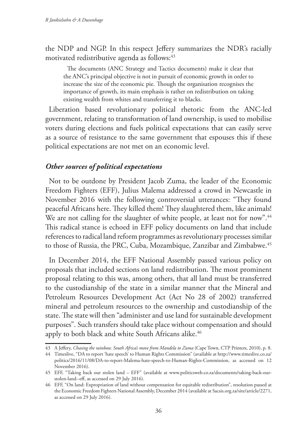the NDP and NGP. In this respect Jeffery summarizes the NDR's racially motivated redistributive agenda as follows:<sup>43</sup>

The documents (ANC Strategy and Tactics documents) make it clear that the ANC's principal objective is not in pursuit of economic growth in order to increase the size of the economic pie. Though the organisation recognises the importance of growth, its main emphasis is rather on redistribution on taking existing wealth from whites and transferring it to blacks.

Liberation based revolutionary political rhetoric from the ANC-led government, relating to transformation of land ownership, is used to mobilise voters during elections and fuels political expectations that can easily serve as a source of resistance to the same government that espouses this if these political expectations are not met on an economic level.

## *Other sources of political expectations*

Not to be outdone by President Jacob Zuma, the leader of the Economic Freedom Fighters (EFF), Julius Malema addressed a crowd in Newcastle in November 2016 with the following controversial utterances: "They found peaceful Africans here. They killed them! They slaughtered them, like animals! We are not calling for the slaughter of white people, at least not for now".<sup>44</sup> This radical stance is echoed in EFF policy documents on land that include references to radical land reform programmes as revolutionary processes similar to those of Russia, the PRC, Cuba, Mozambique, Zanzibar and Zimbabwe.45

In December 2014, the EFF National Assembly passed various policy on proposals that included sections on land redistribution. The most prominent proposal relating to this was, among others, that all land must be transferred to the custodianship of the state in a similar manner that the Mineral and Petroleum Resources Development Act (Act No 28 of 2002) transferred mineral and petroleum resources to the ownership and custodianship of the state. The state will then "administer and use land for sustainable development purposes". Such transfers should take place without compensation and should apply to both black and white South Africans alike.<sup>46</sup>

<sup>43</sup> A Jeffery, *Chasing the rainbow. South Africa's move from Mandela to Zuma* (Cape Town, CTP Printers, 2010), p. 8.

<sup>44</sup> Timeslive, "DA to report 'hate speech' to Human Rights Commission" (available at http://www.timeslive.co.za/ politics/2016/11/08/DA-to-report-Malema-hate-speech-to-Human-Rights-Commission, as accessed on 12 November 2016).

<sup>45</sup> EFF, "Taking back our stolen land – EFF" (available at www.politicsweb.co.za/documents/taking-back-ourstolen-land--eff, as accessed on 29 July 2016).

<sup>46</sup> EFF, "On land: Expropriation of land without compensation for equitable redistribution", resolution passed at the Economic Freedom Fighters National Assembly, December 2014 (available at Sacsis.org.za/site/article/2271, as accessed on 29 July 2016).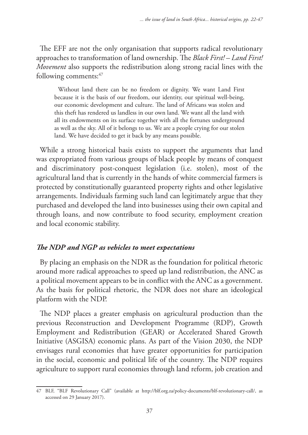The EFF are not the only organisation that supports radical revolutionary approaches to transformation of land ownership. The *Black First! – Land First! Movement* also supports the redistribution along strong racial lines with the following comments:  $47$ 

Without land there can be no freedom or dignity. We want Land First because it is the basis of our freedom, our identity, our spiritual well-being, our economic development and culture. The land of Africans was stolen and this theft has rendered us landless in our own land. We want all the land with all its endowments on its surface together with all the fortunes underground as well as the sky. All of it belongs to us. We are a people crying for our stolen land. We have decided to get it back by any means possible.

While a strong historical basis exists to support the arguments that land was expropriated from various groups of black people by means of conquest and discriminatory post-conquest legislation (i.e. stolen), most of the agricultural land that is currently in the hands of white commercial farmers is protected by constitutionally guaranteed property rights and other legislative arrangements. Individuals farming such land can legitimately argue that they purchased and developed the land into businesses using their own capital and through loans, and now contribute to food security, employment creation and local economic stability.

## *The NDP and NGP as vehicles to meet expectations*

By placing an emphasis on the NDR as the foundation for political rhetoric around more radical approaches to speed up land redistribution, the ANC as a political movement appears to be in conflict with the ANC as a government. As the basis for political rhetoric, the NDR does not share an ideological platform with the NDP.

The NDP places a greater emphasis on agricultural production than the previous Reconstruction and Development Programme (RDP), Growth Employment and Redistribution (GEAR) or Accelerated Shared Growth Initiative (ASGISA) economic plans. As part of the Vision 2030, the NDP envisages rural economies that have greater opportunities for participation in the social, economic and political life of the country. The NDP requires agriculture to support rural economies through land reform, job creation and

<sup>47</sup> BLF, "BLF Revolutionary Call" (available at http://blf.org.za/policy-documents/blf-revolutionary-call/, as accessed on 29 January 2017).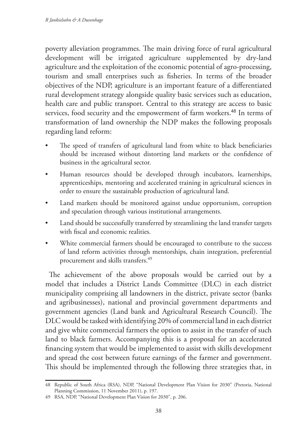poverty alleviation programmes. The main driving force of rural agricultural development will be irrigated agriculture supplemented by dry-land agriculture and the exploitation of the economic potential of agro-processing, tourism and small enterprises such as fisheries. In terms of the broader objectives of the NDP, agriculture is an important feature of a differentiated rural development strategy alongside quality basic services such as education, health care and public transport. Central to this strategy are access to basic services, food security and the empowerment of farm workers.<sup>48</sup> In terms of transformation of land ownership the NDP makes the following proposals regarding land reform:

- The speed of transfers of agricultural land from white to black beneficiaries should be increased without distorting land markets or the confidence of business in the agricultural sector.
- Human resources should be developed through incubators, learnerships, apprenticeships, mentoring and accelerated training in agricultural sciences in order to ensure the sustainable production of agricultural land.
- Land markets should be monitored against undue opportunism, corruption and speculation through various institutional arrangements.
- Land should be successfully transferred by streamlining the land transfer targets with fiscal and economic realities.
- White commercial farmers should be encouraged to contribute to the success of land reform activities through mentorships, chain integration, preferential procurement and skills transfers.<sup>49</sup>

The achievement of the above proposals would be carried out by a model that includes a District Lands Committee (DLC) in each district municipality comprising all landowners in the district, private sector (banks and agribusinesses), national and provincial government departments and government agencies (Land bank and Agricultural Research Council). The DLC would be tasked with identifying 20% of commercial land in each district and give white commercial farmers the option to assist in the transfer of such land to black farmers. Accompanying this is a proposal for an accelerated financing system that would be implemented to assist with skills development and spread the cost between future earnings of the farmer and government. This should be implemented through the following three strategies that, in

<sup>48</sup> Republic of South Africa (RSA), NDP, "National Development Plan Vision for 2030" (Pretoria, National Planning Commission, 11 November 2011), p. 197.

<sup>49</sup> RSA, NDP, "National Development Plan Vision for 2030", p. 206.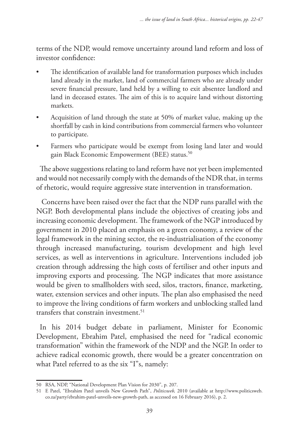terms of the NDP, would remove uncertainty around land reform and loss of investor confidence:

- The identification of available land for transformation purposes which includes land already in the market, land of commercial farmers who are already under severe financial pressure, land held by a willing to exit absentee landlord and land in deceased estates. The aim of this is to acquire land without distorting markets.
- Acquisition of land through the state at 50% of market value, making up the shortfall by cash in kind contributions from commercial farmers who volunteer to participate.
- Farmers who participate would be exempt from losing land later and would gain Black Economic Empowerment (BEE) status.<sup>50</sup>

The above suggestions relating to land reform have not yet been implemented and would not necessarily comply with the demands of the NDR that, in terms of rhetoric, would require aggressive state intervention in transformation.

 Concerns have been raised over the fact that the NDP runs parallel with the NGP. Both developmental plans include the objectives of creating jobs and increasing economic development. The framework of the NGP introduced by government in 2010 placed an emphasis on a green economy, a review of the legal framework in the mining sector, the re-industrialisation of the economy through increased manufacturing, tourism development and high level services, as well as interventions in agriculture. Interventions included job creation through addressing the high costs of fertiliser and other inputs and improving exports and processing. The NGP indicates that more assistance would be given to smallholders with seed, silos, tractors, finance, marketing, water, extension services and other inputs. The plan also emphasised the need to improve the living conditions of farm workers and unblocking stalled land transfers that constrain investment.  $51$ 

In his 2014 budget debate in parliament, Minister for Economic Development, Ebrahim Patel, emphasised the need for "radical economic transformation" within the framework of the NDP and the NGP. In order to achieve radical economic growth, there would be a greater concentration on what Patel referred to as the six "I"s, namely:

<sup>50</sup> RSA, NDP, "National Development Plan Vision for 2030", p. 207.

<sup>51</sup> E Patel, "Ebrahim Patel unveils New Growth Path", *Politicsweb,* 2010 (available at http://www.politicsweb. co.za/party/ebrahim-patel-unveils-new-growth-path, as accessed on 16 February 2016), p. 2.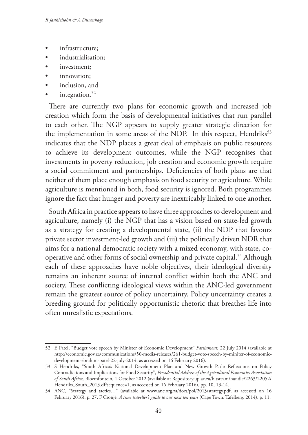- infrastructure;
- industrialisation;
- investment;
- innovation:
- inclusion, and
- integration.<sup>52</sup>

There are currently two plans for economic growth and increased job creation which form the basis of developmental initiatives that run parallel to each other. The NGP appears to supply greater strategic direction for the implementation in some areas of the NDP. In this respect, Hendriks<sup>53</sup> indicates that the NDP places a great deal of emphasis on public resources to achieve its development outcomes, while the NGP recognises that investments in poverty reduction, job creation and economic growth require a social commitment and partnerships. Deficiencies of both plans are that neither of them place enough emphasis on food security or agriculture. While agriculture is mentioned in both, food security is ignored. Both programmes ignore the fact that hunger and poverty are inextricably linked to one another.

South Africa in practice appears to have three approaches to development and agriculture, namely (i) the NGP that has a vision based on state-led growth as a strategy for creating a developmental state, (ii) the NDP that favours private sector investment-led growth and (iii) the politically driven NDR that aims for a national democratic society with a mixed economy, with state, cooperative and other forms of social ownership and private capital.54 Although each of these approaches have noble objectives, their ideological diversity remains an inherent source of internal conflict within both the ANC and society. These conflicting ideological views within the ANC-led government remain the greatest source of policy uncertainty. Policy uncertainty creates a breeding ground for politically opportunistic rhetoric that breathes life into often unrealistic expectations.

<sup>52</sup> E Patel, "Budget vote speech by Minister of Economic Development" *Parliament,* 22 July 2014 (available at http://economic.gov.za/communications/50-media-releases/261-budget-vote-speech-by-miniter-of-economicdevelopment-ebrahim-patel-22-july-2014, as accessed on 16 February 2016).

<sup>53</sup> S Hendriks, "South Africa's National Development Plan and New Growth Path: Reflections on Policy Contradictions and Implications for Food Security", *Presidential Address of the Agricultural Economics Association of South Africa,* Bloemfontein, 1 October 2012 (available at Repository.up.ac.za/bitsream/handle/2263/22052/ Hendriks\_South\_2013.df?sequence=1, as accessed on 16 February 2016), pp. 10, 13-14.

<sup>54</sup> ANC, "Strategy and tactics…" (available at www.anc.org.za/docs/pol/2013/strategy.pdf, as accessed on 16 February 2016), p. 27; F Cronjé, *A time traveller's guide to our next ten years* (Cape Town, Tafelberg, 2014), p. 11.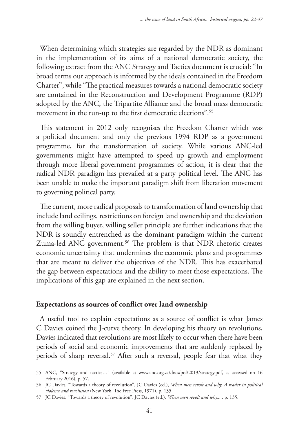When determining which strategies are regarded by the NDR as dominant in the implementation of its aims of a national democratic society, the following extract from the ANC Strategy and Tactics document is crucial: "In broad terms our approach is informed by the ideals contained in the Freedom Charter", while "The practical measures towards a national democratic society are contained in the Reconstruction and Development Programme (RDP) adopted by the ANC, the Tripartite Alliance and the broad mass democratic movement in the run-up to the first democratic elections".55

This statement in 2012 only recognises the Freedom Charter which was a political document and only the previous 1994 RDP as a government programme, for the transformation of society. While various ANC-led governments might have attempted to speed up growth and employment through more liberal government programmes of action, it is clear that the radical NDR paradigm has prevailed at a party political level. The ANC has been unable to make the important paradigm shift from liberation movement to governing political party.

The current, more radical proposals to transformation of land ownership that include land ceilings, restrictions on foreign land ownership and the deviation from the willing buyer, willing seller principle are further indications that the NDR is soundly entrenched as the dominant paradigm within the current Zuma-led ANC government.<sup>56</sup> The problem is that NDR rhetoric creates economic uncertainty that undermines the economic plans and programmes that are meant to deliver the objectives of the NDR. This has exacerbated the gap between expectations and the ability to meet those expectations. The implications of this gap are explained in the next section.

### **Expectations as sources of conflict over land ownership**

A useful tool to explain expectations as a source of conflict is what James C Davies coined the J-curve theory. In developing his theory on revolutions, Davies indicated that revolutions are most likely to occur when there have been periods of social and economic improvements that are suddenly replaced by periods of sharp reversal.57 After such a reversal, people fear that what they

<sup>55</sup> ANC, "Strategy and tactics…" (available at www.anc.org.za/docs/pol/2013/strategy.pdf, as accessed on 16 February 2016), p. 57.

<sup>56</sup> JC Davies, "Towards a theory of revolution", JC Davies (ed.), *When men revolt and why. A reader in political violence and revolution* (New York, The Free Press, 1971), p. 135.

<sup>57</sup> JC Davies, "Towards a theory of revolution", JC Davies (ed.), *When men revolt and why....*, p. 135.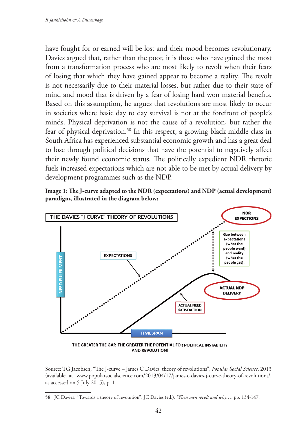have fought for or earned will be lost and their mood becomes revolutionary. Davies argued that, rather than the poor, it is those who have gained the most from a transformation process who are most likely to revolt when their fears of losing that which they have gained appear to become a reality. The revolt is not necessarily due to their material losses, but rather due to their state of mind and mood that is driven by a fear of losing hard won material benefits. Based on this assumption, he argues that revolutions are most likely to occur in societies where basic day to day survival is not at the forefront of people's minds. Physical deprivation is not the cause of a revolution, but rather the fear of physical deprivation.58 In this respect, a growing black middle class in South Africa has experienced substantial economic growth and has a great deal to lose through political decisions that have the potential to negatively affect their newly found economic status. The politically expedient NDR rhetoric fuels increased expectations which are not able to be met by actual delivery by development programmes such as the NDP.





**AND REVOLUTION!** 

Source: TG Jacobsen, "The J-curve – James C Davies' theory of revolutions", *Popular Social Science*, 2013 (available at www.popularsocialscience.com/2013/04/17/james-c-davies-j-curve-theory-of-revolutions/, as accessed on 5 July 2015), p. 1.

<sup>58</sup> JC Davies, "Towards a theory of revolution", JC Davies (ed.), *When men revolt and why…*, pp. 134-147.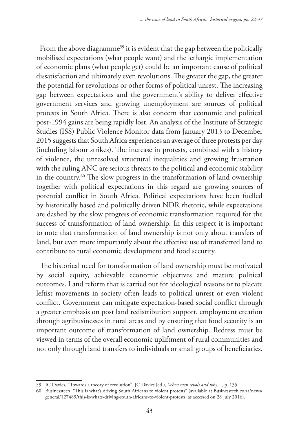From the above diagramme<sup>59</sup> it is evident that the gap between the politically mobilised expectations (what people want) and the lethargic implementation of economic plans (what people get) could be an important cause of political dissatisfaction and ultimately even revolutions. The greater the gap, the greater the potential for revolutions or other forms of political unrest. The increasing gap between expectations and the government's ability to deliver effective government services and growing unemployment are sources of political protests in South Africa. There is also concern that economic and political post-1994 gains are being rapidly lost. An analysis of the Institute of Strategic Studies (ISS) Public Violence Monitor data from January 2013 to December 2015 suggests that South Africa experiences an average of three protests per day (including labour strikes). The increase in protests, combined with a history of violence, the unresolved structural inequalities and growing frustration with the ruling ANC are serious threats to the political and economic stability in the country.60 The slow progress in the transformation of land ownership together with political expectations in this regard are growing sources of potential conflict in South Africa. Political expectations have been fuelled by historically based and politically driven NDR rhetoric, while expectations are dashed by the slow progress of economic transformation required for the success of transformation of land ownership. In this respect it is important to note that transformation of land ownership is not only about transfers of land, but even more importantly about the effective use of transferred land to contribute to rural economic development and food security.

The historical need for transformation of land ownership must be motivated by social equity, achievable economic objectives and mature political outcomes. Land reform that is carried out for ideological reasons or to placate leftist movements in society often leads to political unrest or even violent conflict. Government can mitigate expectation-based social conflict through a greater emphasis on post land redistribution support, employment creation through agribusinesses in rural areas and by ensuring that food security is an important outcome of transformation of land ownership. Redress must be viewed in terms of the overall economic upliftment of rural communities and not only through land transfers to individuals or small groups of beneficiaries.

<sup>59</sup> JC Davies, "Towards a theory of revolution", JC Davies (ed.), *When men revolt and why....*, p. 135.

<sup>60</sup> Businesstech, "This is what's driving South Africans to violent protests" (available at Businesstech.co.za/news/ general/127489/this-is-whats-driving-south-africans-to-violent-protests, as accessed on 28 July 2016).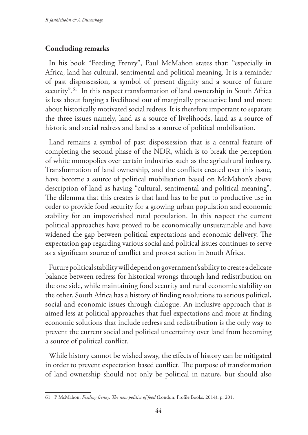## **Concluding remarks**

In his book "Feeding Frenzy", Paul McMahon states that: "especially in Africa, land has cultural, sentimental and political meaning. It is a reminder of past dispossession, a symbol of present dignity and a source of future security".<sup>61</sup> In this respect transformation of land ownership in South Africa is less about forging a livelihood out of marginally productive land and more about historically motivated social redress. It is therefore important to separate the three issues namely, land as a source of livelihoods, land as a source of historic and social redress and land as a source of political mobilisation.

Land remains a symbol of past dispossession that is a central feature of completing the second phase of the NDR, which is to break the perception of white monopolies over certain industries such as the agricultural industry. Transformation of land ownership, and the conflicts created over this issue, have become a source of political mobilisation based on McMahon's above description of land as having "cultural, sentimental and political meaning". The dilemma that this creates is that land has to be put to productive use in order to provide food security for a growing urban population and economic stability for an impoverished rural population. In this respect the current political approaches have proved to be economically unsustainable and have widened the gap between political expectations and economic delivery. The expectation gap regarding various social and political issues continues to serve as a significant source of conflict and protest action in South Africa.

Future political stability will depend on government's ability to create a delicate balance between redress for historical wrongs through land redistribution on the one side, while maintaining food security and rural economic stability on the other. South Africa has a history of finding resolutions to serious political, social and economic issues through dialogue. An inclusive approach that is aimed less at political approaches that fuel expectations and more at finding economic solutions that include redress and redistribution is the only way to prevent the current social and political uncertainty over land from becoming a source of political conflict.

While history cannot be wished away, the effects of history can be mitigated in order to prevent expectation based conflict. The purpose of transformation of land ownership should not only be political in nature, but should also

<sup>61</sup> P McMahon, *Feeding frenzy: The new politics of food* (London, Profile Books, 2014), p. 201.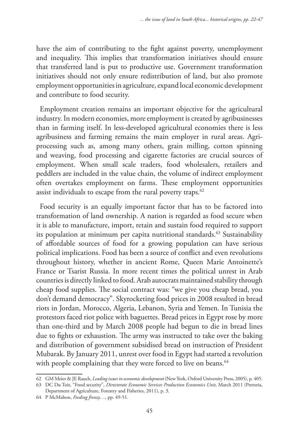have the aim of contributing to the fight against poverty, unemployment and inequality. This implies that transformation initiatives should ensure that transferred land is put to productive use. Government transformation initiatives should not only ensure redistribution of land, but also promote employment opportunities in agriculture, expand local economic development and contribute to food security.

Employment creation remains an important objective for the agricultural industry. In modern economies, more employment is created by agribusinesses than in farming itself. In less-developed agricultural economies there is less agribusiness and farming remains the main employer in rural areas. Agriprocessing such as, among many others, grain milling, cotton spinning and weaving, food processing and cigarette factories are crucial sources of employment. When small scale traders, food wholesalers, retailers and peddlers are included in the value chain, the volume of indirect employment often overtakes employment on farms. These employment opportunities assist individuals to escape from the rural poverty traps.<sup>62</sup>

Food security is an equally important factor that has to be factored into transformation of land ownership. A nation is regarded as food secure when it is able to manufacture, import, retain and sustain food required to support its population at minimum per capita nutritional standards.<sup>63</sup> Sustainability of affordable sources of food for a growing population can have serious political implications. Food has been a source of conflict and even revolutions throughout history, whether in ancient Rome, Queen Marie Antoinette's France or Tsarist Russia. In more recent times the political unrest in Arab countries is directly linked to food. Arab autocrats maintained stability through cheap food supplies. The social contract was: "we give you cheap bread, you don't demand democracy". Skyrocketing food prices in 2008 resulted in bread riots in Jordan, Morocco, Algeria, Lebanon, Syria and Yemen. In Tunisia the protestors faced riot police with baguettes. Bread prices in Egypt rose by more than one-third and by March 2008 people had begun to die in bread lines due to fights or exhaustion. The army was instructed to take over the baking and distribution of government subsidised bread on instruction of President Mubarak. By January 2011, unrest over food in Egypt had started a revolution with people complaining that they were forced to live on beans.<sup>64</sup>

<sup>62</sup> GM Meier & JE Rauch, *Leading issues in economic development* (New York, Oxford University Press, 2005), p. 405.

<sup>63</sup> DC Du Toit, "Food security", *Directorate Economic Services Production Economics Unit,* March 2011 (Pretoria,

Department of Agriculture, Forestry and Fisheries, 2011), p. 3. 64 P McMahon, *Feeding frenzy…*, pp. 49-51.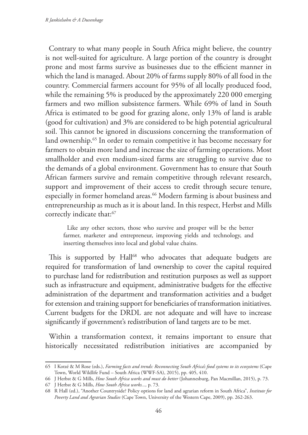Contrary to what many people in South Africa might believe, the country is not well-suited for agriculture. A large portion of the country is drought prone and most farms survive as businesses due to the efficient manner in which the land is managed. About 20% of farms supply 80% of all food in the country. Commercial farmers account for 95% of all locally produced food, while the remaining 5% is produced by the approximately 220 000 emerging farmers and two million subsistence farmers. While 69% of land in South Africa is estimated to be good for grazing alone, only 13% of land is arable (good for cultivation) and 3% are considered to be high potential agricultural soil. This cannot be ignored in discussions concerning the transformation of land ownership.<sup>65</sup> In order to remain competitive it has become necessary for farmers to obtain more land and increase the size of farming operations. Most smallholder and even medium-sized farms are struggling to survive due to the demands of a global environment. Government has to ensure that South African farmers survive and remain competitive through relevant research, support and improvement of their access to credit through secure tenure, especially in former homeland areas.<sup>66</sup> Modern farming is about business and entrepreneurship as much as it is about land. In this respect, Herbst and Mills correctly indicate that:<sup>67</sup>

Like any other sectors, those who survive and prosper will be the better farmer, marketer and entrepreneur, improving yields and technology, and inserting themselves into local and global value chains.

This is supported by Hall<sup>68</sup> who advocates that adequate budgets are required for transformation of land ownership to cover the capital required to purchase land for redistribution and restitution purposes as well as support such as infrastructure and equipment, administrative budgets for the effective administration of the department and transformation activities and a budget for extension and training support for beneficiaries of transformation initiatives. Current budgets for the DRDL are not adequate and will have to increase significantly if government's redistribution of land targets are to be met.

Within a transformation context, it remains important to ensure that historically necessitated redistribution initiatives are accompanied by

<sup>65</sup> I Kotzé & M Rose (eds.), *Farming facts and trends: Reconnecting South Africa's food systems to its ecosystems* (Cape Town, World Wildlife Fund – South Africa (WWF-SA), 2015), pp. 405, 410.

<sup>66</sup> J Herbst & G Mills, *How South Africa works and must do better* (Johannesburg, Pan Macmillan, 2015), p. 73.

<sup>67</sup> J Herbst & G Mills, *How South Africa works...,* p. 73.

<sup>68</sup> R Hall (ed.), "Another Countryside? Policy options for land and agrarian reform in South Africa", *Institute for Poverty Land and Agrarian Studies* (Cape Town, University of the Western Cape, 2009), pp. 262-263.